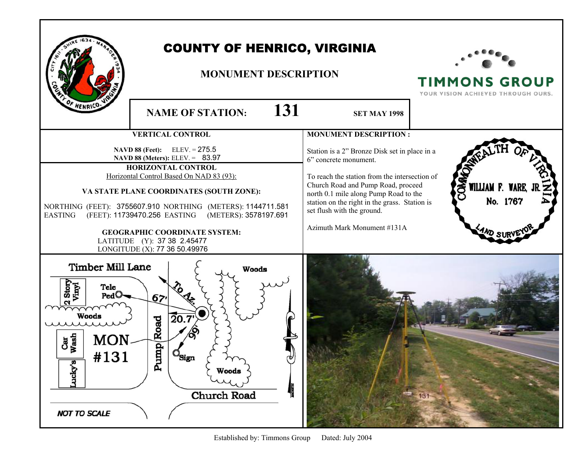|                                                                                                                                                             | <b>COUNTY OF HENRICO, VIRGINIA</b><br><b>MONUMENT DESCRIPTION</b>                                                                                                                                                                                                                                                                                                                                                       |                                                                                                                                                                                                                                                                                                                      | <b>TIMMONS GROUP</b><br>YOUR VISION ACHIEVED THROUGH OURS. |
|-------------------------------------------------------------------------------------------------------------------------------------------------------------|-------------------------------------------------------------------------------------------------------------------------------------------------------------------------------------------------------------------------------------------------------------------------------------------------------------------------------------------------------------------------------------------------------------------------|----------------------------------------------------------------------------------------------------------------------------------------------------------------------------------------------------------------------------------------------------------------------------------------------------------------------|------------------------------------------------------------|
| F HENRICO-                                                                                                                                                  | 131<br><b>NAME OF STATION:</b>                                                                                                                                                                                                                                                                                                                                                                                          | <b>SET MAY 1998</b>                                                                                                                                                                                                                                                                                                  |                                                            |
|                                                                                                                                                             | <b>VERTICAL CONTROL</b>                                                                                                                                                                                                                                                                                                                                                                                                 | <b>MONUMENT DESCRIPTION:</b>                                                                                                                                                                                                                                                                                         |                                                            |
| <b>EASTING</b>                                                                                                                                              | NAVD 88 (Feet): ELEV. = 275.5<br><b>NAVD 88 (Meters):</b> ELEV. = $83.97$<br>HORIZONTAL CONTROL<br>Horizontal Control Based On NAD 83 (93):<br>VA STATE PLANE COORDINATES (SOUTH ZONE):<br>NORTHING (FEET): 3755607.910 NORTHING (METERS): 1144711.581<br>(FEET): 11739470.256 EASTING<br>(METERS): 3578197.691<br><b>GEOGRAPHIC COORDINATE SYSTEM:</b><br>LATITUDE (Y): 37 38 2.45477<br>LONGITUDE (X): 77 36 50.49976 | Station is a 2" Bronze Disk set in place in a<br>6" concrete monument.<br>To reach the station from the intersection of<br>Church Road and Pump Road, proceed<br>north 0.1 mile along Pump Road to the<br>station on the right in the grass. Station is<br>set flush with the ground.<br>Azimuth Mark Monument #131A | <b>SKO</b><br>WILLIAM F. WARE,<br>No. 1767                 |
| <b>Timber Mill Lane</b><br>Jinyl<br>Stor<br>Tele<br>$\text{Ped}$<br>m<br><b>Woods</b><br>Wash<br><b>MON</b><br>Ĉār<br>#131<br>acky's<br><b>NOT TO SCALE</b> | <b>Woods</b><br>67,<br>20.7<br>Road<br>ę<br>Pun<br>$\mathbb{S}$ ign<br>≁<br>Woods<br><b>Church Road</b>                                                                                                                                                                                                                                                                                                                 |                                                                                                                                                                                                                                                                                                                      |                                                            |